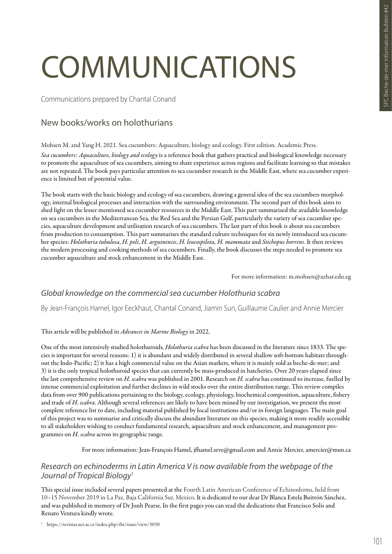# COMMUNICATIONS

Communications prepared by Chantal Conand

## New books/works on holothurians

Mohsen M. and Yang H. 2021. Sea cucumbers: Aquaculture, biology and ecology. First edition. Academic Press.

*Sea cucumbers: Aquaculture, biology and ecology* is a reference book that gathers practical and biological knowledge necessary to promote the aquaculture of sea cucumbers, aiming to share experience across regions and facilitate learning so that mistakes are not repeated. The book pays particular attention to sea cucumber research in the Middle East, where sea cucumber experience is limited but of potential value.

The book starts with the basic biology and ecology of sea cucumbers, drawing a general idea of the sea cucumbers morphology, internal biological processes and interaction with the surrounding environment. The second part of this book aims to shed light on the lesser mentioned sea cucumber resources in the Middle East. This part summarised the available knowledge on sea cucumbers in the Mediterranean Sea, the Red Sea and the Persian Gulf, particularly the variety of sea cucumber species, aquaculture development and utilisation research of sea cucumbers. The last part of this book is about sea cucumbers from production to consumption. This part summarises the standard culture techniques for six newly introduced sea cucumber species: *Holothuria tubulosa*, *H. poli*, *H. arguinensis*, *H. leucospilota, H. mammata* and *Stichopus horrens*. It then reviews the modern processing and cooking methods of sea cucumbers. Finally, the book discusses the steps needed to promote sea cucumber aquaculture and stock enhancement in the Middle East.

For more information: m.mohsen@azhar.edu.eg

## *Global knowledge on the commercial sea cucumber Holothuria scabra*

By Jean-François Hamel, Igor Eeckhaut, Chantal Conand, Jiamin Sun, Guillaume Caulier and Annie Mercier

#### This article will be published in *Advances in Marine Biology* in 2022.

One of the most intensively studied holothuroids, *Holothuria scabra* has been discussed in the literature since 1833. The species is important for several reasons: 1) it is abundant and widely distributed in several shallow soft-bottom habitats throughout the Indo-Pacific; 2) it has a high commercial value on the Asian markets, where it is mainly sold as beche-de-mer; and 3) it is the only tropical holothuroid species that can currently be mass-produced in hatcheries. Over 20 years elapsed since the last comprehensive review on *H. scabra* was published in 2001. Research on *H. scabra* has continued to increase, fuelled by intense commercial exploitation and further declines in wild stocks over the entire distribution range. This review compiles data from over 900 publications pertaining to the biology, ecology, physiology, biochemical composition, aquaculture, fishery and trade of *H*. *scabra*. Although several references are likely to have been missed by our investigation, we present the most complete reference list to date, including material published by local institutions and/or in foreign languages. The main goal of this project was to summarise and critically discuss the abundant literature on this species, making it more readily accessible to all stakeholders wishing to conduct fundamental research, aquaculture and stock enhancement, and management programmes on *H. scabra* across its geographic range.

For more information: Jean-François Hamel, jfhamel.seve@gmail.com and Annie Mercier, amercier@mun.ca

## *Research on echinoderms in Latin America V is now available from the webpage of the Journal of Tropical Biology1*

This special issue included several papers presented at the Fourth Latin American Conference of Echinoderms, held from 10–15 November 2019 in La Paz, Baja California Sur, Mexico. It is dedicated to our dear Dr Blanca Estela Buitrón Sánchez, and was published in memory of Dr Jonh Pearse. In the first pages you can read the dedications that Francisco Solís and Renato Ventura kindly wrote.

<sup>1</sup> https://revistas.ucr.ac.cr/index.php/rbt/issue/view/3030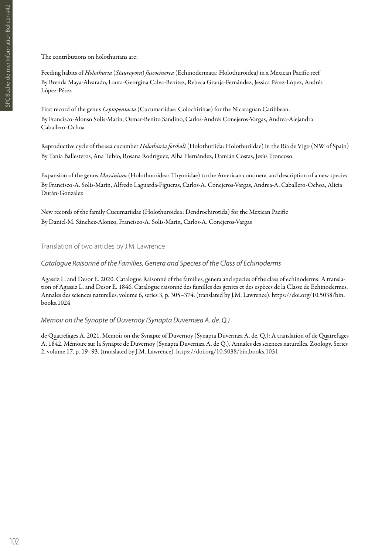The contributions on holothurians are:

Feeding habits of *Holothuria* (*Stauropora*) *fuscocinerea* (Echinodermata: Holothuroidea) in a Mexican Pacific reef By Brenda Maya-Alvarado, Laura-Georgina Calva-Benítez, Rebeca Granja-Fernández, Jessica Pérez-López, Andrés López-Pérez

First record of the genus *Leptopentacta* (Cucumariidae: Colochirinae) for the Nicaraguan Caribbean. By Francisco-Alonso Solís-Marín, Osmar-Benito Sandino, Carlos-Andrés Conejeros-Vargas, Andrea-Alejandra Caballero-Ochoa

Reproductive cycle of the sea cucumber *Holothuria forskali* (Holothuriida: Holothuriidae) in the Ría de Vigo (NW of Spain) By Tania Ballesteros, Ana Tubío, Rosana Rodríguez, Alba Hernández, Damián Costas, Jesús Troncoso

Expansion of the genus *Massinium* (Holothuroidea: Thyonidae) to the American continent and description of a new species By Francisco-A. Solís-Marín, Alfredo Laguarda-Figueras, Carlos-A. Conejeros-Vargas, Andrea-A. Caballero-Ochoa, Alicia Durán-González

New records of the family Cucumariidae (Holothuroidea: Dendrochirotida) for the Mexican Pacific By Daniel-M. Sánchez-Alonzo, Francisco-A. Solís-Marín, Carlos-A. Conejeros-Vargas

Translation of two articles by J.M. Lawrence

## *Catalogue Raisonné of the Families, Genera and Species of the Class of Echinoderms*

Agassiz L. and Desor E. 2020. Catalogue Raisonné of the families, genera and species of the class of echinoderms: A translation of Agassiz L. and Desor E. 1846. Catalogue raisonné des familles des genres et des espèces de la Classe de Echinodermes. Annales des sciences naturelles, volume 6, series 3, p. 305–374. (translated by J.M. Lawrence). https://doi.org/10.5038/bin. books.1024

#### *Memoir on the Synapte of Duvernoy (Synapta Duvernæa A. de. Q.)*

de Quatrefages A. 2021. Memoir on the Synapte of Duvernoy (Synapta Duvernæa A. de. Q.): A translation of de Quatrefages A. 1842. Mémoire sur la Synapte de Duvernoy (Synapta Duvernæa A. de Q.). Annales des sciences naturelles. Zoology. Series 2, volume 17, p. 19–93. (translated by J.M. Lawrence). https://doi.org/10.5038/bin.books.1031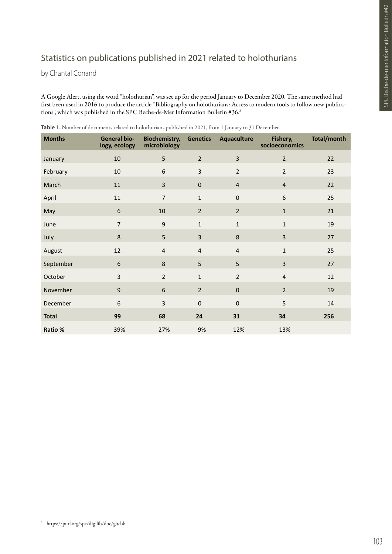# Statistics on publications published in 2021 related to holothurians

by Chantal Conand

A Google Alert, using the word "holothurian", was set up for the period January to December 2020. The same method had first been used in 2016 to produce the article "Bibliography on holothurians: Access to modern tools to follow new publications", which was published in the SPC Beche-de-Mer Information Bulletin #36.2

| <b>Months</b> | <b>General bio-</b><br>logy, ecology | <b>Biochemistry,</b><br>microbiology | <b>Genetics</b>         | Aquaculture    | Fishery,<br>socioeconomics | Total/month |
|---------------|--------------------------------------|--------------------------------------|-------------------------|----------------|----------------------------|-------------|
| January       | 10                                   | 5                                    | $\overline{2}$          | 3              | $\overline{2}$             | 22          |
| February      | 10                                   | 6                                    | 3                       | $\overline{2}$ | $\overline{2}$             | 23          |
| March         | 11                                   | $\overline{3}$                       | $\pmb{0}$               | $\overline{4}$ | $\overline{4}$             | 22          |
| April         | 11                                   | $\overline{7}$                       | $\mathbf 1$             | $\pmb{0}$      | 6                          | 25          |
| May           | $\boldsymbol{6}$                     | 10                                   | $\overline{2}$          | $\overline{2}$ | $1\,$                      | 21          |
| June          | $\overline{7}$                       | 9                                    | $\mathbf 1$             | $\mathbf{1}$   | $\mathbf{1}$               | 19          |
| July          | 8                                    | 5                                    | $\overline{3}$          | 8              | $\overline{3}$             | 27          |
| August        | 12                                   | $\overline{4}$                       | $\overline{\mathbf{4}}$ | $\overline{4}$ | $\mathbf{1}$               | 25          |
| September     | 6                                    | 8                                    | 5                       | 5              | $\overline{3}$             | 27          |
| October       | $\mathsf{3}$                         | $\overline{2}$                       | $\mathbf{1}$            | $\overline{2}$ | 4                          | 12          |
| November      | $\mathsf g$                          | 6                                    | $\overline{2}$          | $\pmb{0}$      | $\overline{2}$             | 19          |
| December      | 6                                    | 3                                    | $\pmb{0}$               | $\mathbf 0$    | 5                          | 14          |
| <b>Total</b>  | 99                                   | 68                                   | 24                      | 31             | 34                         | 256         |
| Ratio %       | 39%                                  | 27%                                  | 9%                      | 12%            | 13%                        |             |

**Table 1.** Number of documents related to holothurians published in 2021, from 1 January to 31 December.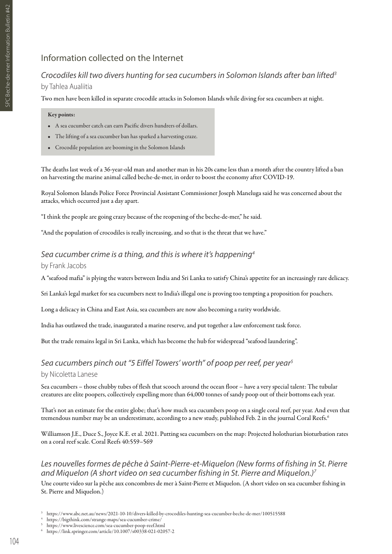## Information collected on the Internet

## *Crocodiles kill two divers hunting for sea cucumbers in Solomon Islands after ban lifted3* by Tahlea Aualiitia

Two men have been killed in separate crocodile attacks in Solomon Islands while diving for sea cucumbers at night.

#### Key points:

- A sea cucumber catch can earn Pacific divers hundrers of dollars.
- The lifting of a sea cucumber ban has sparked a harvesting craze.
- Crocodile population are booming in the Solomon Islands

The deaths last week of a 36-year-old man and another man in his 20s came less than a month after the country lifted a ban on harvesting the marine animal called beche-de-mer, in order to boost the economy after COVID-19.

Royal Solomon Islands Police Force Provincial Assistant Commissioner Joseph Maneluga said he was concerned about the attacks, which occurred just a day apart.

"I think the people are going crazy because of the reopening of the beche-de-mer," he said.

"And the population of crocodiles is really increasing, and so that is the threat that we have."

## *Sea cucumber crime is a thing, and this is where it's happening4* by Frank Jacobs

A "seafood mafia" is plying the waters between India and Sri Lanka to satisfy China's appetite for an increasingly rare delicacy.

Sri Lanka's legal market for sea cucumbers next to India's illegal one is proving too tempting a proposition for poachers.

Long a delicacy in China and East Asia, sea cucumbers are now also becoming a rarity worldwide.

India has outlawed the trade, inaugurated a marine reserve, and put together a law enforcement task force.

But the trade remains legal in Sri Lanka, which has become the hub for widespread "seafood laundering".

## *Sea cucumbers pinch out "5 Eiffel Towers' worth" of poop per reef, per year5*

#### by Nicoletta Lanese

Sea cucumbers – those chubby tubes of flesh that scooch around the ocean floor – have a very special talent: The tubular creatures are elite poopers, collectively expelling more than 64,000 tonnes of sandy poop out of their bottoms each year.

That's not an estimate for the entire globe; that's how much sea cucumbers poop on a single coral reef, per year. And even that tremendous number may be an underestimate, according to a new study, published Feb. 2 in the journal Coral Reefs.6

Williamson J.E., Duce S., Joyce K.E. et al. 2021. Putting sea cucumbers on the map: Projected holothurian bioturbation rates on a coral reef scale. Coral Reefs 40:559–569

## *Les nouvelles formes de pêche à Saint-Pierre-et-Miquelon (New forms of fishing in St. Pierre and Miquelon (A short video on sea cucumber fishing in St. Pierre and Miquelon.)7*

Une courte video sur la pêche aux concombres de mer à Saint-Pierre et Miquelon. (A short video on sea cucumber fishing in St. Pierre and Miquelon.)

- <sup>3</sup> https://www.abc.net.au/news/2021-10-10/divers-killed-by-crocodiles-hunting-sea-cucumber-beche-de-mer/100515588
- <sup>4</sup> https://bigthink.com/strange-maps/sea-cucumber-crime/
- <sup>5</sup> https://www.livescience.com/sea-cucumber-poop-reef.html
- <sup>6</sup> https://link.springer.com/article/10.1007/s00338-021-02057-2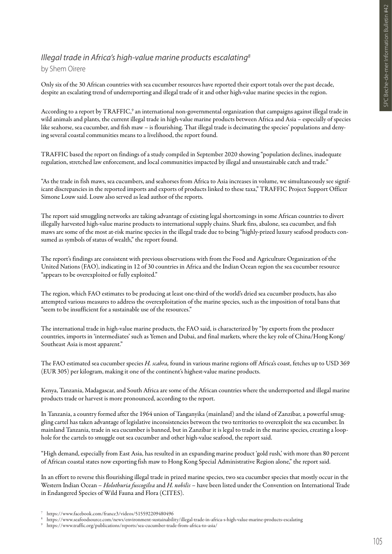## *Illegal trade in Africa's high-value marine products escalating8*

#### by Shem Oirere

Only six of the 30 African countries with sea cucumber resources have reported their export totals over the past decade, despite an escalating trend of underreporting and illegal trade of it and other high-value marine species in the region.

According to a report by TRAFFIC,<sup>9</sup> an international non-governmental organization that campaigns against illegal trade in wild animals and plants, the current illegal trade in high-value marine products between Africa and Asia – especially of species like seahorse, sea cucumber, and fish maw – is flourishing. That illegal trade is decimating the species' populations and denying several coastal communities means to a livelihood, the report found.

TRAFFIC based the report on findings of a study compiled in September 2020 showing "population declines, inadequate regulation, stretched law enforcement, and local communities impacted by illegal and unsustainable catch and trade."

"As the trade in fish maws, sea cucumbers, and seahorses from Africa to Asia increases in volume, we simultaneously see significant discrepancies in the reported imports and exports of products linked to these taxa," TRAFFIC Project Support Officer Simone Louw said. Louw also served as lead author of the reports.

The report said smuggling networks are taking advantage of existing legal shortcomings in some African countries to divert illegally harvested high-value marine products to international supply chains. Shark fins, abalone, sea cucumber, and fish maws are some of the most at-risk marine species in the illegal trade due to being "highly-prized luxury seafood products consumed as symbols of status of wealth," the report found.

The report's findings are consistent with previous observations with from the Food and Agriculture Organization of the United Nations (FAO), indicating in 12 of 30 countries in Africa and the Indian Ocean region the sea cucumber resource "appears to be overexploited or fully exploited."

The region, which FAO estimates to be producing at least one-third of the world's dried sea cucumber products, has also attempted various measures to address the overexploitation of the marine species, such as the imposition of total bans that "seem to be insufficient for a sustainable use of the resources."

The international trade in high-value marine products, the FAO said, is characterized by "by exports from the producer countries, imports in 'intermediates' such as Yemen and Dubai, and final markets, where the key role of China/Hong Kong/ Southeast Asia is most apparent."

The FAO estimated sea cucumber species *H. scabra,* found in various marine regions off Africa's coast, fetches up to USD 369 (EUR 305) per kilogram, making it one of the continent's highest-value marine products.

Kenya, Tanzania, Madagascar, and South Africa are some of the African countries where the underreported and illegal marine products trade or harvest is more pronounced, according to the report.

In Tanzania, a country formed after the 1964 union of Tanganyika (mainland) and the island of Zanzibar, a powerful smuggling cartel has taken advantage of legislative inconsistencies between the two territories to overexploit the sea cucumber. In mainland Tanzania, trade in sea cucumber is banned, but in Zanzibar it is legal to trade in the marine species, creating a loophole for the cartels to smuggle out sea cucumber and other high-value seafood, the report said.

"High demand, especially from East Asia, has resulted in an expanding marine product 'gold rush,' with more than 80 percent of African coastal states now exporting fish maw to Hong Kong Special Administrative Region alone," the report said.

In an effort to reverse this flourishing illegal trade in prized marine species, two sea cucumber species that mostly occur in the Western Indian Ocean – *Holothuria fuscogilva* and *H. nobilis* – have been listed under the Convention on International Trade in Endangered Species of Wild Fauna and Flora (CITES).

<sup>7</sup> https://www.facebook.com/france3/videos/515592209480496

<sup>8</sup> https://www.seafoodsource.com/news/environment-sustainability/illegal-trade-in-africa-s-high-value-marine-products-escalating

<sup>9</sup> https://www.traffic.org/publications/reports/sea-cucumber-trade-from-africa-to-asia/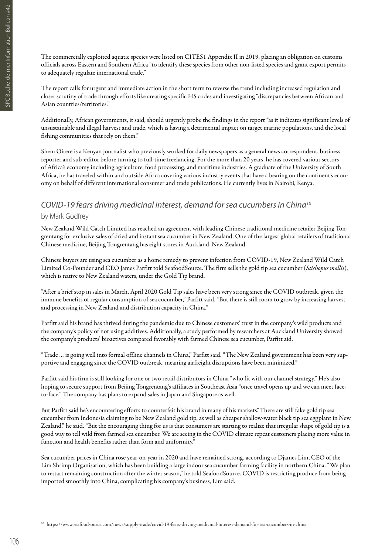The commercially exploited aquatic species were listed on CITES1 Appendix II in 2019, placing an obligation on customs officials across Eastern and Southern Africa "to identify these species from other non-listed species and grant export permits to adequately regulate international trade."

The report calls for urgent and immediate action in the short term to reverse the trend including increased regulation and closer scrutiny of trade through efforts like creating specific HS codes and investigating "discrepancies between African and Asian countries/territories."

Additionally, African governments, it said, should urgently probe the findings in the report "as it indicates significant levels of unsustainable and illegal harvest and trade, which is having a detrimental impact on target marine populations, and the local fishing communities that rely on them."

Shem Oirere is a Kenyan journalist who previously worked for daily newspapers as a general news correspondent, business reporter and sub-editor before turning to full-time freelancing. For the more than 20 years, he has covered various sectors of Africa's economy including agriculture, food processing, and maritime industries. A graduate of the University of South Africa, he has traveled within and outside Africa covering various industry events that have a bearing on the continent's economy on behalf of different international consumer and trade publications. He currently lives in Nairobi, Kenya.

## *COVID-19 fears driving medicinal interest, demand for sea cucumbers in China10* by Mark Godfrey

New Zealand Wild Catch Limited has reached an agreement with leading Chinese traditional medicine retailer Beijing Tongrentang for exclusive sales of dried and instant sea cucumber in New Zealand. One of the largest global retailers of traditional Chinese medicine, Beijing Tongrentang has eight stores in Auckland, New Zealand.

Chinese buyers are using sea cucumber as a home remedy to prevent infection from COVID-19, New Zealand Wild Catch Limited Co-Founder and CEO James Parfitt told SeafoodSource. The firm sells the gold tip sea cucumber (*Stichopus mollis*), which is native to New Zealand waters, under the Gold Tip brand.

"After a brief stop in sales in March, April 2020 Gold Tip sales have been very strong since the COVID outbreak, given the immune benefits of regular consumption of sea cucumber," Parfitt said. "But there is still room to grow by increasing harvest and processing in New Zealand and distribution capacity in China."

Parfitt said his brand has thrived during the pandemic due to Chinese customers' trust in the company's wild products and the company's policy of not using additives. Additionally, a study performed by researchers at Auckland University showed the company's products' bioactives compared favorably with farmed Chinese sea cucumber, Parfitt aid.

"Trade … is going well into formal offline channels in China," Parfitt said. "The New Zealand government has been very supportive and engaging since the COVID outbreak, meaning airfreight disruptions have been minimized."

Parfitt said his firm is still looking for one or two retail distributors in China "who fit with our channel strategy." He's also hoping to secure support from Beijing Tongrentang's affiliates in Southeast Asia "once travel opens up and we can meet faceto-face." The company has plans to expand sales in Japan and Singapore as well.

But Parfitt said he's encountering efforts to counterfeit his brand in many of his markets."There are still fake gold tip sea cucumber from Indonesia claiming to be New Zealand gold tip, as well as cheaper shallow-water black tip sea eggplant in New Zealand," he said. "But the encouraging thing for us is that consumers are starting to realize that irregular shape of gold tip is a good way to tell wild from farmed sea cucumber. We are seeing in the COVID climate repeat customers placing more value in function and health benefits rather than form and uniformity."

Sea cucumber prices in China rose year-on-year in 2020 and have remained strong, according to Djames Lim, CEO of the Lim Shrimp Organisation, which has been building a large indoor sea cucumber farming facility in northern China. "We plan to restart remaining construction after the winter season," he told SeafoodSource. COVID is restricting produce from being imported smoothly into China, complicating his company's business, Lim said.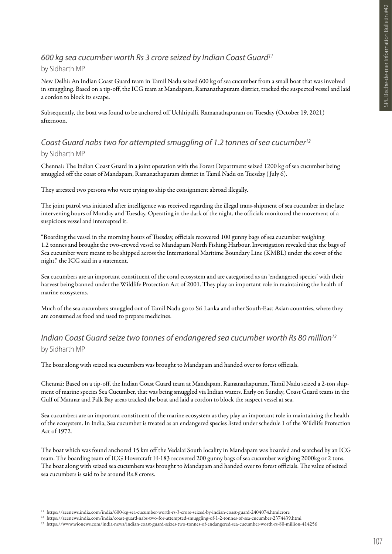#### *600 kg sea cucumber worth Rs 3 crore seized by Indian Coast Guard11*

#### by Sidharth MP

New Delhi: An Indian Coast Guard team in Tamil Nadu seized 600 kg of sea cucumber from a small boat that was involved in smuggling. Based on a tip-off, the ICG team at Mandapam, Ramanathapuram district, tracked the suspected vessel and laid a cordon to block its escape.

Subsequently, the boat was found to be anchored off Uchhipalli, Ramanathapuram on Tuesday (October 19, 2021) afternoon.

## *Coast Guard nabs two for attempted smuggling of 1.2 tonnes of sea cucumber12* by Sidharth MP

Chennai: The Indian Coast Guard in a joint operation with the Forest Department seized 1200 kg of sea cucumber being smuggled off the coast of Mandapam, Ramanathapuram district in Tamil Nadu on Tuesday ( July 6).

They arrested two persons who were trying to ship the consignment abroad illegally.

The joint patrol was initiated after intelligence was received regarding the illegal trans-shipment of sea cucumber in the late intervening hours of Monday and Tuesday. Operating in the dark of the night, the officials monitored the movement of a suspicious vessel and intercepted it.

"Boarding the vessel in the morning hours of Tuesday, officials recovered 100 gunny bags of sea cucumber weighing 1.2 tonnes and brought the two-crewed vessel to Mandapam North Fishing Harbour. Investigation revealed that the bags of Sea cucumber were meant to be shipped across the International Maritime Boundary Line (KMBL) under the cover of the night," the ICG said in a statement.

Sea cucumbers are an important constituent of the coral ecosystem and are categorised as an 'endangered species' with their harvest being banned under the Wildlife Protection Act of 2001. They play an important role in maintaining the health of marine ecosystems.

Much of the sea cucumbers smuggled out of Tamil Nadu go to Sri Lanka and other South-East Asian countries, where they are consumed as food and used to prepare medicines.

## *Indian Coast Guard seize two tonnes of endangered sea cucumber worth Rs 80 million13* by Sidharth MP

The boat along with seized sea cucumbers was brought to Mandapam and handed over to forest officials.

Chennai: Based on a tip-off, the Indian Coast Guard team at Mandapam, Ramanathapuram, Tamil Nadu seized a 2-ton shipment of marine species Sea Cucumber, that was being smuggled via Indian waters. Early on Sunday, Coast Guard teams in the Gulf of Mannar and Palk Bay areas tracked the boat and laid a cordon to block the suspect vessel at sea.

Sea cucumbers are an important constituent of the marine ecosystem as they play an important role in maintaining the health of the ecosystem. In India, Sea cucumber is treated as an endangered species listed under schedule 1 of the Wildlife Protection Act of 1972.

The boat which was found anchored 15 km off the Vedalai South locality in Mandapam was boarded and searched by an ICG team. The boarding team of ICG Hovercraft H-183 recovered 200 gunny bags of sea cucumber weighing 2000kg or 2 tons. The boat along with seized sea cucumbers was brought to Mandapam and handed over to forest officials. The value of seized sea cucumbers is said to be around Rs.8 crores.

<sup>11</sup> https://zeenews.india.com/india/600-kg-sea-cucumber-worth-rs-3-crore-seized-by-indian-coast-guard-2404074.htmlcrore

<sup>12</sup> https://zeenews.india.com/india/coast-guard-nabs-two-for-attempted-smuggling-of-1-2-tonnes-of-sea-cucumber-2374439.html

<sup>13</sup> https://www.wionews.com/india-news/indian-coast-guard-seizes-two-tonnes-of-endangered-sea-cucumber-worth-rs-80-million-414256